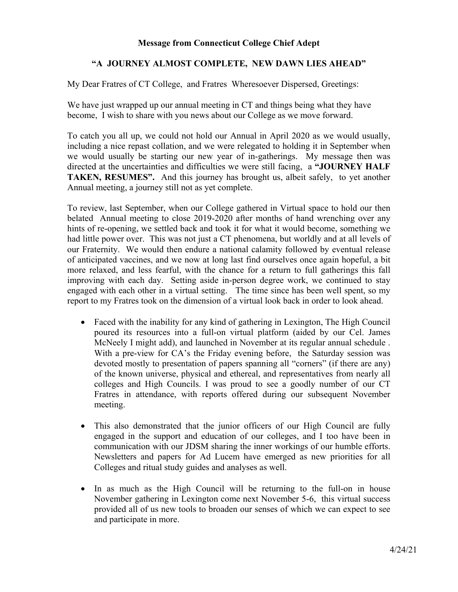## **Message from Connecticut College Chief Adept**

## **"A JOURNEY ALMOST COMPLETE, NEW DAWN LIES AHEAD"**

My Dear Fratres of CT College, and Fratres Wheresoever Dispersed, Greetings:

We have just wrapped up our annual meeting in CT and things being what they have become, I wish to share with you news about our College as we move forward.

To catch you all up, we could not hold our Annual in April 2020 as we would usually, including a nice repast collation, and we were relegated to holding it in September when we would usually be starting our new year of in-gatherings. My message then was directed at the uncertainties and difficulties we were still facing, a **"JOURNEY HALF TAKEN, RESUMES".** And this journey has brought us, albeit safely, to yet another Annual meeting, a journey still not as yet complete.

To review, last September, when our College gathered in Virtual space to hold our then belated Annual meeting to close 2019-2020 after months of hand wrenching over any hints of re-opening, we settled back and took it for what it would become, something we had little power over. This was not just a CT phenomena, but worldly and at all levels of our Fraternity. We would then endure a national calamity followed by eventual release of anticipated vaccines, and we now at long last find ourselves once again hopeful, a bit more relaxed, and less fearful, with the chance for a return to full gatherings this fall improving with each day. Setting aside in-person degree work, we continued to stay engaged with each other in a virtual setting. The time since has been well spent, so my report to my Fratres took on the dimension of a virtual look back in order to look ahead.

- Faced with the inability for any kind of gathering in Lexington, The High Council poured its resources into a full-on virtual platform (aided by our Cel. James McNeely I might add), and launched in November at its regular annual schedule . With a pre-view for CA's the Friday evening before, the Saturday session was devoted mostly to presentation of papers spanning all "corners" (if there are any) of the known universe, physical and ethereal, and representatives from nearly all colleges and High Councils. I was proud to see a goodly number of our CT Fratres in attendance, with reports offered during our subsequent November meeting.
- This also demonstrated that the junior officers of our High Council are fully engaged in the support and education of our colleges, and I too have been in communication with our JDSM sharing the inner workings of our humble efforts. Newsletters and papers for Ad Lucem have emerged as new priorities for all Colleges and ritual study guides and analyses as well.
- In as much as the High Council will be returning to the full-on in house November gathering in Lexington come next November 5-6, this virtual success provided all of us new tools to broaden our senses of which we can expect to see and participate in more.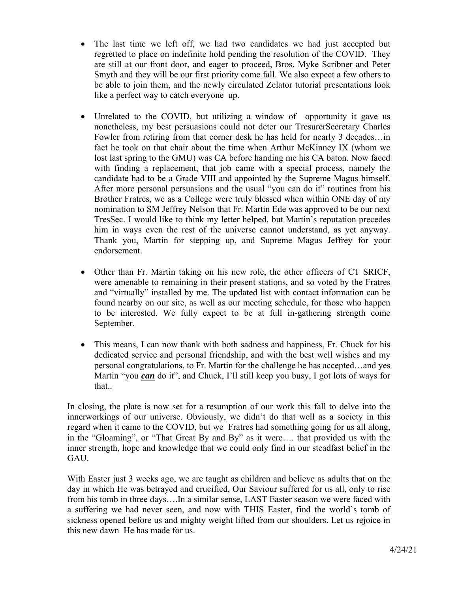- The last time we left off, we had two candidates we had just accepted but regretted to place on indefinite hold pending the resolution of the COVID. They are still at our front door, and eager to proceed, Bros. Myke Scribner and Peter Smyth and they will be our first priority come fall. We also expect a few others to be able to join them, and the newly circulated Zelator tutorial presentations look like a perfect way to catch everyone up.
- Unrelated to the COVID, but utilizing a window of opportunity it gave us nonetheless, my best persuasions could not deter our TresurerSecretary Charles Fowler from retiring from that corner desk he has held for nearly 3 decades…in fact he took on that chair about the time when Arthur McKinney IX (whom we lost last spring to the GMU) was CA before handing me his CA baton. Now faced with finding a replacement, that job came with a special process, namely the candidate had to be a Grade VIII and appointed by the Supreme Magus himself. After more personal persuasions and the usual "you can do it" routines from his Brother Fratres, we as a College were truly blessed when within ONE day of my nomination to SM Jeffrey Nelson that Fr. Martin Ede was approved to be our next TresSec. I would like to think my letter helped, but Martin's reputation precedes him in ways even the rest of the universe cannot understand, as yet anyway. Thank you, Martin for stepping up, and Supreme Magus Jeffrey for your endorsement.
- Other than Fr. Martin taking on his new role, the other officers of CT SRICF, were amenable to remaining in their present stations, and so voted by the Fratres and "virtually" installed by me. The updated list with contact information can be found nearby on our site, as well as our meeting schedule, for those who happen to be interested. We fully expect to be at full in-gathering strength come September.
- This means, I can now thank with both sadness and happiness, Fr. Chuck for his dedicated service and personal friendship, and with the best well wishes and my personal congratulations, to Fr. Martin for the challenge he has accepted…and yes Martin "you *can* do it", and Chuck, I'll still keep you busy, I got lots of ways for that..

In closing, the plate is now set for a resumption of our work this fall to delve into the innerworkings of our universe. Obviously, we didn't do that well as a society in this regard when it came to the COVID, but we Fratres had something going for us all along, in the "Gloaming", or "That Great By and By" as it were…. that provided us with the inner strength, hope and knowledge that we could only find in our steadfast belief in the GAU.

With Easter just 3 weeks ago, we are taught as children and believe as adults that on the day in which He was betrayed and crucified, Our Saviour suffered for us all, only to rise from his tomb in three days….In a similar sense, LAST Easter season we were faced with a suffering we had never seen, and now with THIS Easter, find the world's tomb of sickness opened before us and mighty weight lifted from our shoulders. Let us rejoice in this new dawn He has made for us.